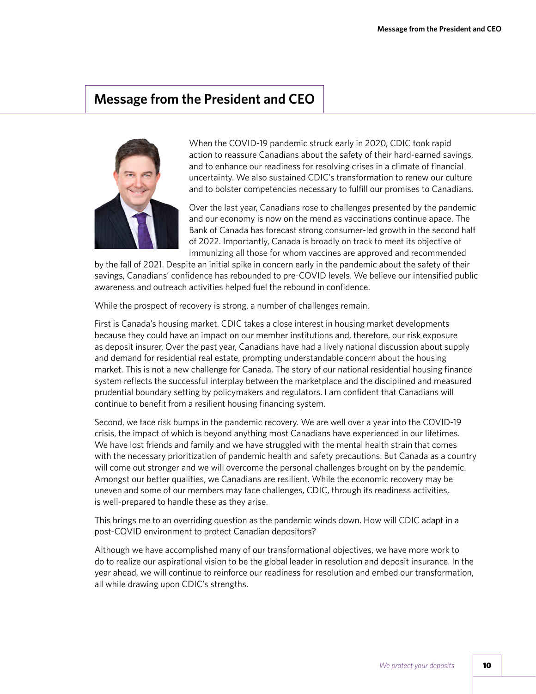## **Message from the President and CEO**



When the COVID-19 pandemic struck early in 2020, CDIC took rapid action to reassure Canadians about the safety of their hard-earned savings, and to enhance our readiness for resolving crises in a climate of financial uncertainty. We also sustained CDIC's transformation to renew our culture and to bolster competencies necessary to fulfill our promises to Canadians.

Over the last year, Canadians rose to challenges presented by the pandemic and our economy is now on the mend as vaccinations continue apace. The Bank of Canada has forecast strong consumer-led growth in the second half of 2022. Importantly, Canada is broadly on track to meet its objective of immunizing all those for whom vaccines are approved and recommended

by the fall of 2021. Despite an initial spike in concern early in the pandemic about the safety of their savings, Canadians' confidence has rebounded to pre-COVID levels. We believe our intensified public awareness and outreach activities helped fuel the rebound in confidence.

While the prospect of recovery is strong, a number of challenges remain.

First is Canada's housing market. CDIC takes a close interest in housing market developments because they could have an impact on our member institutions and, therefore, our risk exposure as deposit insurer. Over the past year, Canadians have had a lively national discussion about supply and demand for residential real estate, prompting understandable concern about the housing market. This is not a new challenge for Canada. The story of our national residential housing finance system reflects the successful interplay between the marketplace and the disciplined and measured prudential boundary setting by policymakers and regulators. I am confident that Canadians will continue to benefit from a resilient housing financing system.

Second, we face risk bumps in the pandemic recovery. We are well over a year into the COVID-19 crisis, the impact of which is beyond anything most Canadians have experienced in our lifetimes. We have lost friends and family and we have struggled with the mental health strain that comes with the necessary prioritization of pandemic health and safety precautions. But Canada as a country will come out stronger and we will overcome the personal challenges brought on by the pandemic. Amongst our better qualities, we Canadians are resilient. While the economic recovery may be uneven and some of our members may face challenges, CDIC, through its readiness activities, is well-prepared to handle these as they arise.

This brings me to an overriding question as the pandemic winds down. How will CDIC adapt in a post-COVID environment to protect Canadian depositors?

Although we have accomplished many of our transformational objectives, we have more work to do to realize our aspirational vision to be the global leader in resolution and deposit insurance. In the year ahead, we will continue to reinforce our readiness for resolution and embed our transformation, all while drawing upon CDIC's strengths.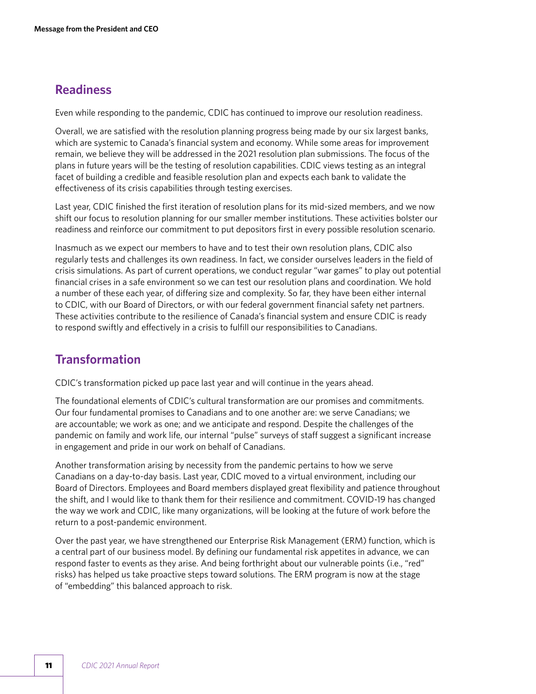## **Readiness**

Even while responding to the pandemic, CDIC has continued to improve our resolution readiness.

Overall, we are satisfied with the resolution planning progress being made by our six largest banks, which are systemic to Canada's financial system and economy. While some areas for improvement remain, we believe they will be addressed in the 2021 resolution plan submissions. The focus of the plans in future years will be the testing of resolution capabilities. CDIC views testing as an integral facet of building a credible and feasible resolution plan and expects each bank to validate the effectiveness of its crisis capabilities through testing exercises.

Last year, CDIC finished the first iteration of resolution plans for its mid-sized members, and we now shift our focus to resolution planning for our smaller member institutions. These activities bolster our readiness and reinforce our commitment to put depositors first in every possible resolution scenario.

Inasmuch as we expect our members to have and to test their own resolution plans, CDIC also regularly tests and challenges its own readiness. In fact, we consider ourselves leaders in the field of crisis simulations. As part of current operations, we conduct regular "war games" to play out potential financial crises in a safe environment so we can test our resolution plans and coordination. We hold a number of these each year, of differing size and complexity. So far, they have been either internal to CDIC, with our Board of Directors, or with our federal government financial safety net partners. These activities contribute to the resilience of Canada's financial system and ensure CDIC is ready to respond swiftly and effectively in a crisis to fulfill our responsibilities to Canadians.

## **Transformation**

CDIC's transformation picked up pace last year and will continue in the years ahead.

The foundational elements of CDIC's cultural transformation are our promises and commitments. Our four fundamental promises to Canadians and to one another are: we serve Canadians; we are accountable; we work as one; and we anticipate and respond. Despite the challenges of the pandemic on family and work life, our internal "pulse" surveys of staff suggest a significant increase in engagement and pride in our work on behalf of Canadians.

Another transformation arising by necessity from the pandemic pertains to how we serve Canadians on a day-to-day basis. Last year, CDIC moved to a virtual environment, including our Board of Directors. Employees and Board members displayed great flexibility and patience throughout the shift, and I would like to thank them for their resilience and commitment. COVID-19 has changed the way we work and CDIC, like many organizations, will be looking at the future of work before the return to a post-pandemic environment.

Over the past year, we have strengthened our Enterprise Risk Management (ERM) function, which is a central part of our business model. By defining our fundamental risk appetites in advance, we can respond faster to events as they arise. And being forthright about our vulnerable points (i.e., "red" risks) has helped us take proactive steps toward solutions. The ERM program is now at the stage of "embedding" this balanced approach to risk.